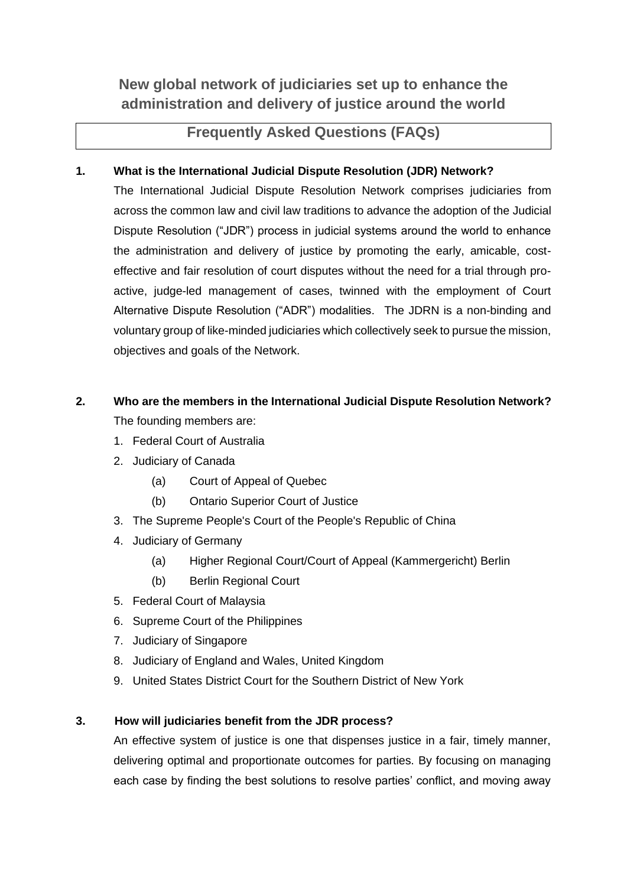**New global network of judiciaries set up to enhance the administration and delivery of justice around the world**

**Frequently Asked Questions (FAQs)**

## **1. What is the International Judicial Dispute Resolution (JDR) Network?**

The International Judicial Dispute Resolution Network comprises judiciaries from across the common law and civil law traditions to advance the adoption of the Judicial Dispute Resolution ("JDR") process in judicial systems around the world to enhance the administration and delivery of justice by promoting the early, amicable, costeffective and fair resolution of court disputes without the need for a trial through proactive, judge-led management of cases, twinned with the employment of Court Alternative Dispute Resolution ("ADR") modalities. The JDRN is a non-binding and voluntary group of like-minded judiciaries which collectively seek to pursue the mission, objectives and goals of the Network.

- **2. Who are the members in the International Judicial Dispute Resolution Network?**  The founding members are:
	- 1. Federal Court of Australia
	- 2. Judiciary of Canada
		- (a) Court of Appeal of Quebec
		- (b) Ontario Superior Court of Justice
	- 3. The Supreme People's Court of the People's Republic of China
	- 4. Judiciary of Germany
		- (a) Higher Regional Court/Court of Appeal (Kammergericht) Berlin
		- (b) Berlin Regional Court
	- 5. Federal Court of Malaysia
	- 6. Supreme Court of the Philippines
	- 7. Judiciary of Singapore
	- 8. Judiciary of England and Wales, United Kingdom
	- 9. United States District Court for the Southern District of New York

## **3. How will judiciaries benefit from the JDR process?**

An effective system of justice is one that dispenses justice in a fair, timely manner, delivering optimal and proportionate outcomes for parties. By focusing on managing each case by finding the best solutions to resolve parties' conflict, and moving away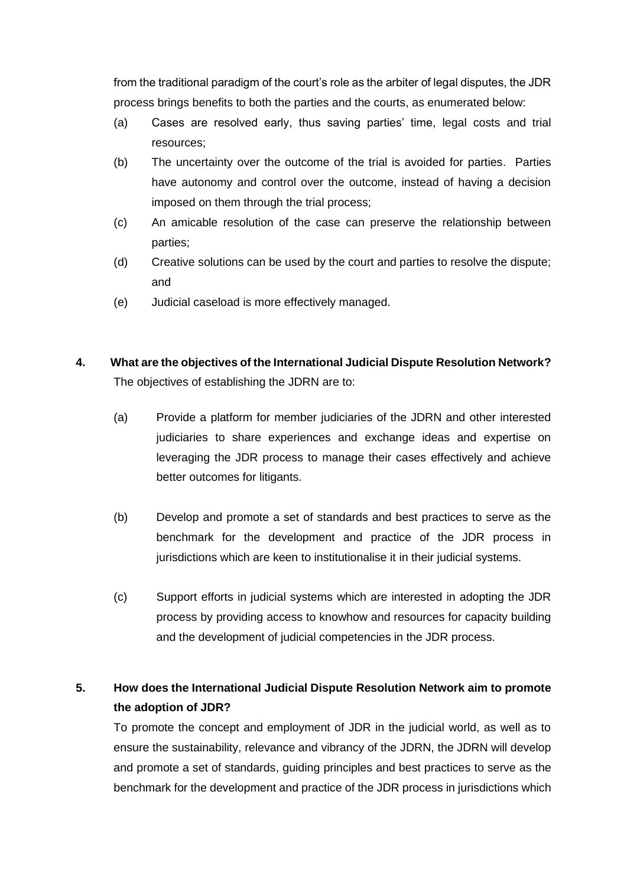from the traditional paradigm of the court's role as the arbiter of legal disputes, the JDR process brings benefits to both the parties and the courts, as enumerated below:

- (a) Cases are resolved early, thus saving parties' time, legal costs and trial resources;
- (b) The uncertainty over the outcome of the trial is avoided for parties. Parties have autonomy and control over the outcome, instead of having a decision imposed on them through the trial process;
- (c) An amicable resolution of the case can preserve the relationship between parties;
- (d) Creative solutions can be used by the court and parties to resolve the dispute; and
- (e) Judicial caseload is more effectively managed.
- **4. What are the objectives of the International Judicial Dispute Resolution Network?** The objectives of establishing the JDRN are to:
	- (a) Provide a platform for member judiciaries of the JDRN and other interested judiciaries to share experiences and exchange ideas and expertise on leveraging the JDR process to manage their cases effectively and achieve better outcomes for litigants.
	- (b) Develop and promote a set of standards and best practices to serve as the benchmark for the development and practice of the JDR process in jurisdictions which are keen to institutionalise it in their judicial systems.
	- (c) Support efforts in judicial systems which are interested in adopting the JDR process by providing access to knowhow and resources for capacity building and the development of judicial competencies in the JDR process.

## **5. How does the International Judicial Dispute Resolution Network aim to promote the adoption of JDR?**

To promote the concept and employment of JDR in the judicial world, as well as to ensure the sustainability, relevance and vibrancy of the JDRN, the JDRN will develop and promote a set of standards, guiding principles and best practices to serve as the benchmark for the development and practice of the JDR process in jurisdictions which